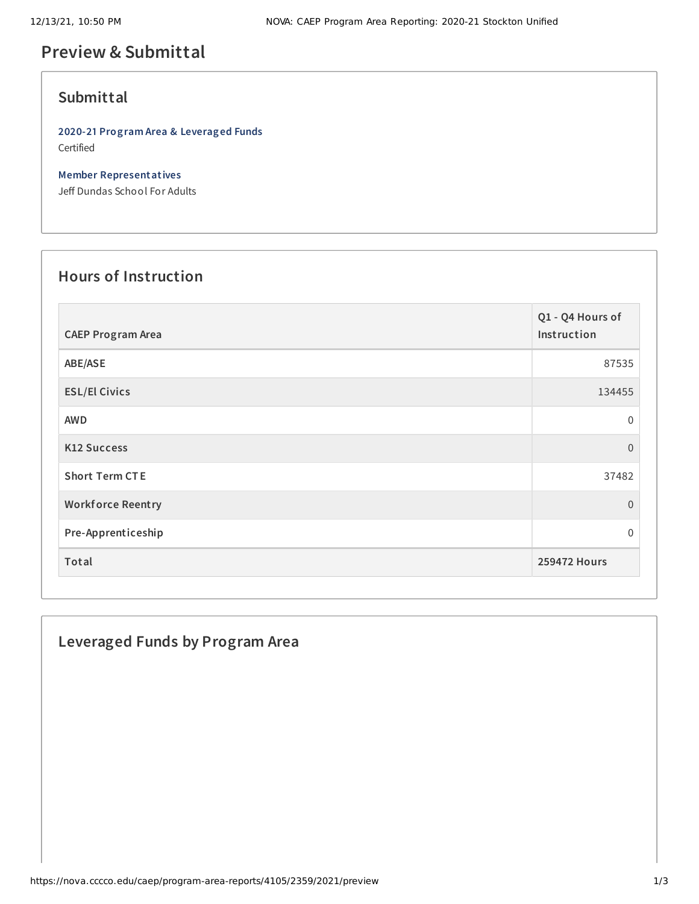# **Preview & Submittal**

## **Submittal**

**2020-21 Program Area & Leveraged Funds** Certified

**Member Representatives**

Jeff Dundas School For Adults

## **Hours of Instruction**

| <b>CAEP Program Area</b> | Q1 - Q4 Hours of<br>Instruction |
|--------------------------|---------------------------------|
| ABE/ASE                  | 87535                           |
| <b>ESL/El Civics</b>     | 134455                          |
| <b>AWD</b>               | $\mathbf 0$                     |
| <b>K12 Success</b>       | $\mathbf{0}$                    |
| <b>Short Term CTE</b>    | 37482                           |
| <b>Workforce Reentry</b> | $\overline{0}$                  |
| Pre-Apprenticeship       | $\mathbf 0$                     |
| Total                    | <b>259472 Hours</b>             |

## **Leveraged Funds by Program Area**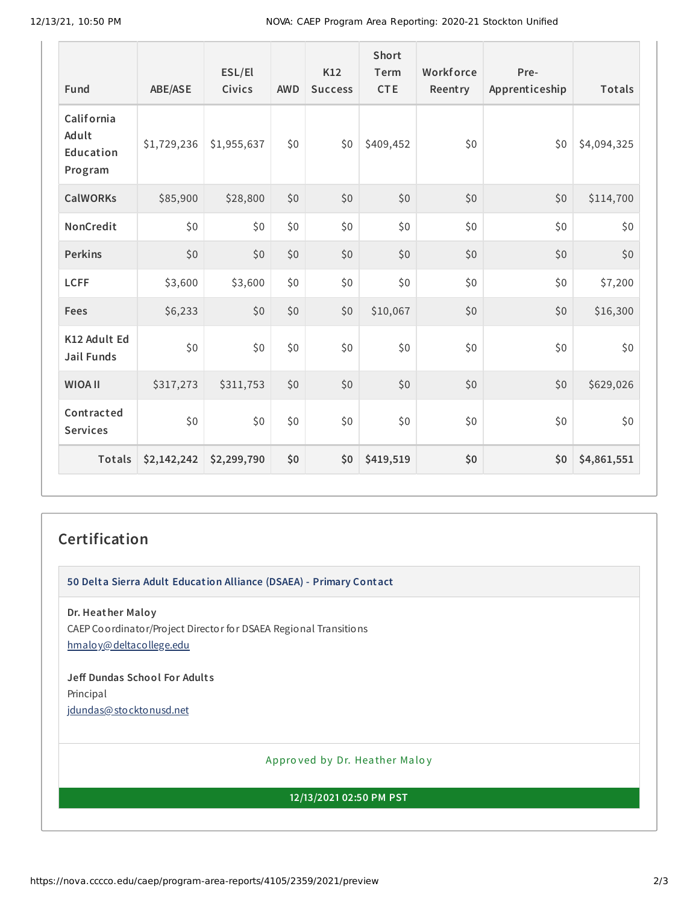| Fund                                        | <b>ABE/ASE</b> | ESL/El<br>Civics | <b>AWD</b> | K12<br><b>Success</b> | Short<br>Term<br><b>CTE</b> | Workforce<br>Reentry | Pre-<br>Apprenticeship | <b>Totals</b> |
|---------------------------------------------|----------------|------------------|------------|-----------------------|-----------------------------|----------------------|------------------------|---------------|
| California<br>Adult<br>Education<br>Program | \$1,729,236    | \$1,955,637      | \$0        | \$0                   | \$409,452                   | \$0                  | \$0                    | \$4,094,325   |
| <b>CalWORKs</b>                             | \$85,900       | \$28,800         | \$0        | \$0                   | \$0                         | \$0                  | \$0                    | \$114,700     |
| NonCredit                                   | \$0            | \$0              | \$0        | \$0                   | \$0                         | \$0                  | \$0                    | \$0           |
| <b>Perkins</b>                              | \$0            | \$0              | \$0        | \$0                   | \$0                         | \$0                  | \$0                    | \$0           |
| <b>LCFF</b>                                 | \$3,600        | \$3,600          | \$0        | \$0                   | \$0                         | \$0                  | \$0                    | \$7,200       |
| Fees                                        | \$6,233        | \$0              | \$0        | \$0                   | \$10,067                    | \$0                  | \$0                    | \$16,300      |
| K12 Adult Ed<br><b>Jail Funds</b>           | \$0            | \$0              | \$0        | \$0                   | \$0                         | \$0                  | \$0                    | \$0           |
| <b>WIOA II</b>                              | \$317,273      | \$311,753        | \$0        | \$0                   | \$0                         | \$0                  | \$0                    | \$629,026     |
| Contracted<br><b>Services</b>               | \$0\$          | \$0              | \$0        | \$0                   | \$0                         | \$0                  | \$0                    | \$0           |
| Totals                                      | \$2,142,242    | \$2,299,790      | \$0        | \$0                   | \$419,519                   | \$0                  | \$0                    | \$4,861,551   |

## **Certification**

**50 Delta Sierra Adult Education Alliance (DSAEA) - Primary Contact**

**Dr. Heather Maloy** CAEP Coordinator/Project Director for DSAEA Regional Transitions [hmaloy@deltacollege.edu](mailto:hmaloy@deltacollege.edu)

**Jeff Dundas School For Adult s** Principal [jdundas@stocktonusd.net](mailto:jdundas@stocktonusd.net)

Appro ved by Dr. Heather Maloy

**12/13/2021 02:50 PM PST**